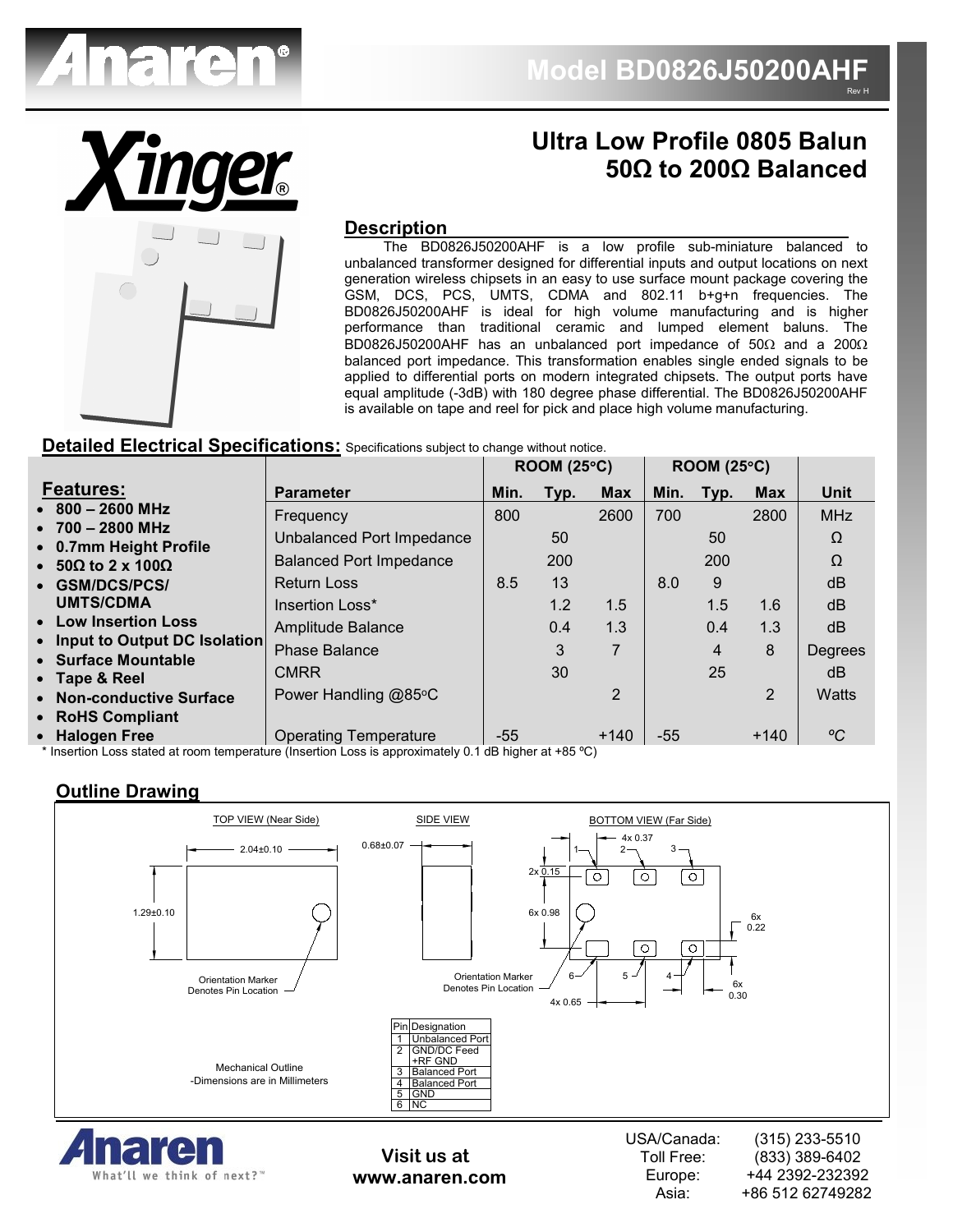



# **Ultra Low Profile 0805 Balun 50Ω to 200Ω Balanced**

Asia:

+86 512 62749282

#### **Description**

 The BD0826J50200AHF is a low profile sub-miniature balanced to unbalanced transformer designed for differential inputs and output locations on next generation wireless chipsets in an easy to use surface mount package covering the GSM, DCS, PCS, UMTS, CDMA and 802.11 b+g+n frequencies. The BD0826J50200AHF is ideal for high volume manufacturing and is higher performance than traditional ceramic and lumped element baluns. The BD0826J50200AHF has an unbalanced port impedance of 50Ω and a 200Ω balanced port impedance. This transformation enables single ended signals to be applied to differential ports on modern integrated chipsets. The output ports have equal amplitude (-3dB) with 180 degree phase differential. The BD0826J50200AHF is available on tape and reel for pick and place high volume manufacturing.

#### **Detailed Electrical Specifications:** Specifications subject to change without notice.

|                                                       |                                | ROOM (25°C) |      |                | ROOM (25°C) |            |                |             |
|-------------------------------------------------------|--------------------------------|-------------|------|----------------|-------------|------------|----------------|-------------|
| <b>Features:</b>                                      | <b>Parameter</b>               | Min.        | Typ. | <b>Max</b>     | Min.        | Typ.       | <b>Max</b>     | <b>Unit</b> |
| $\bullet$ 800 - 2600 MHz                              | Frequency                      | 800         |      | 2600           | 700         |            | 2800           | <b>MHz</b>  |
| $\bullet$ 700 - 2800 MHz<br>• 0.7mm Height Profile    | Unbalanced Port Impedance      |             | 50   |                |             | 50         |                | Ω           |
| $\bullet$ 50 $\Omega$ to 2 x 100 $\Omega$             | <b>Balanced Port Impedance</b> |             | 200  |                |             | <b>200</b> |                | Ω           |
| • GSM/DCS/PCS/                                        | <b>Return Loss</b>             | 8.5         | 13   |                | 8.0         | 9          |                | dB          |
| <b>UMTS/CDMA</b>                                      | Insertion Loss*                |             | 1.2  | 1.5            |             | 1.5        | 1.6            | dB          |
| • Low Insertion Loss                                  | Amplitude Balance              |             | 0.4  | 1.3            |             | 0.4        | 1.3            | dB          |
| • Input to Output DC Isolation<br>• Surface Mountable | <b>Phase Balance</b>           |             | 3    | $\overline{7}$ |             | 4          | 8              | Degrees     |
| • Tape & Reel                                         | <b>CMRR</b>                    |             | 30   |                |             | 25         |                | dB.         |
| • Non-conductive Surface                              | Power Handling @85°C           |             |      | 2              |             |            | $\overline{2}$ | Watts       |
| • RoHS Compliant                                      |                                |             |      |                |             |            |                |             |
| • Halogen Free                                        | <b>Operating Temperature</b>   | $-55$       |      | $+140$         | $-55$       |            | $+140$         | °C          |

 $^{\star}$  Insertion Loss stated at room temperature (Insertion Loss is approximately 0.1 dB higher at +85 °C)

### **Outline Drawing**

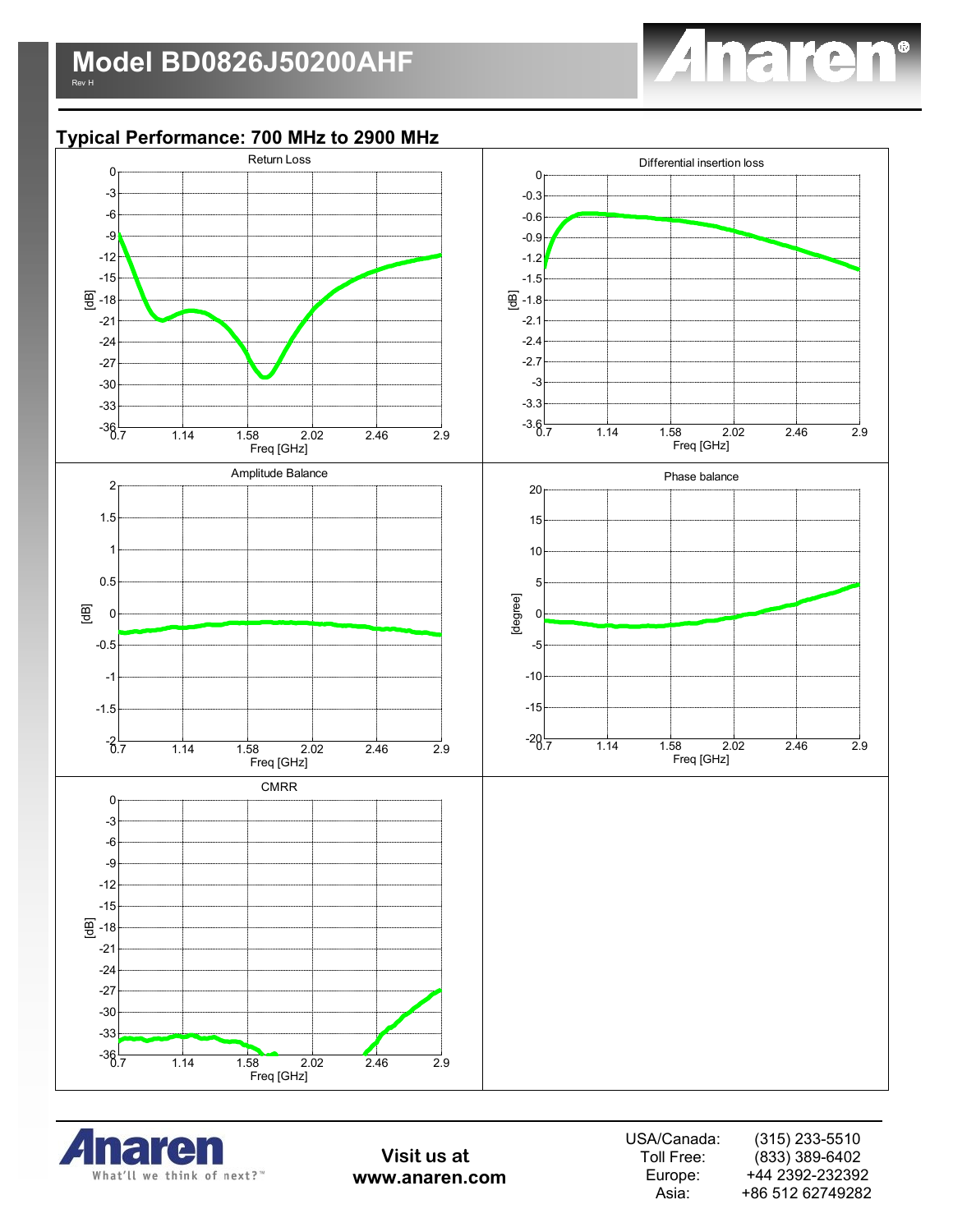

## **Typical Performance: 700 MHz to 2900 MHz**





**Visit us at www.anaren.com** USA/Canada: Toll Free: Europe: Asia: (315) 233-5510 (833) 389-6402 +44 2392-232392 +86 512 62749282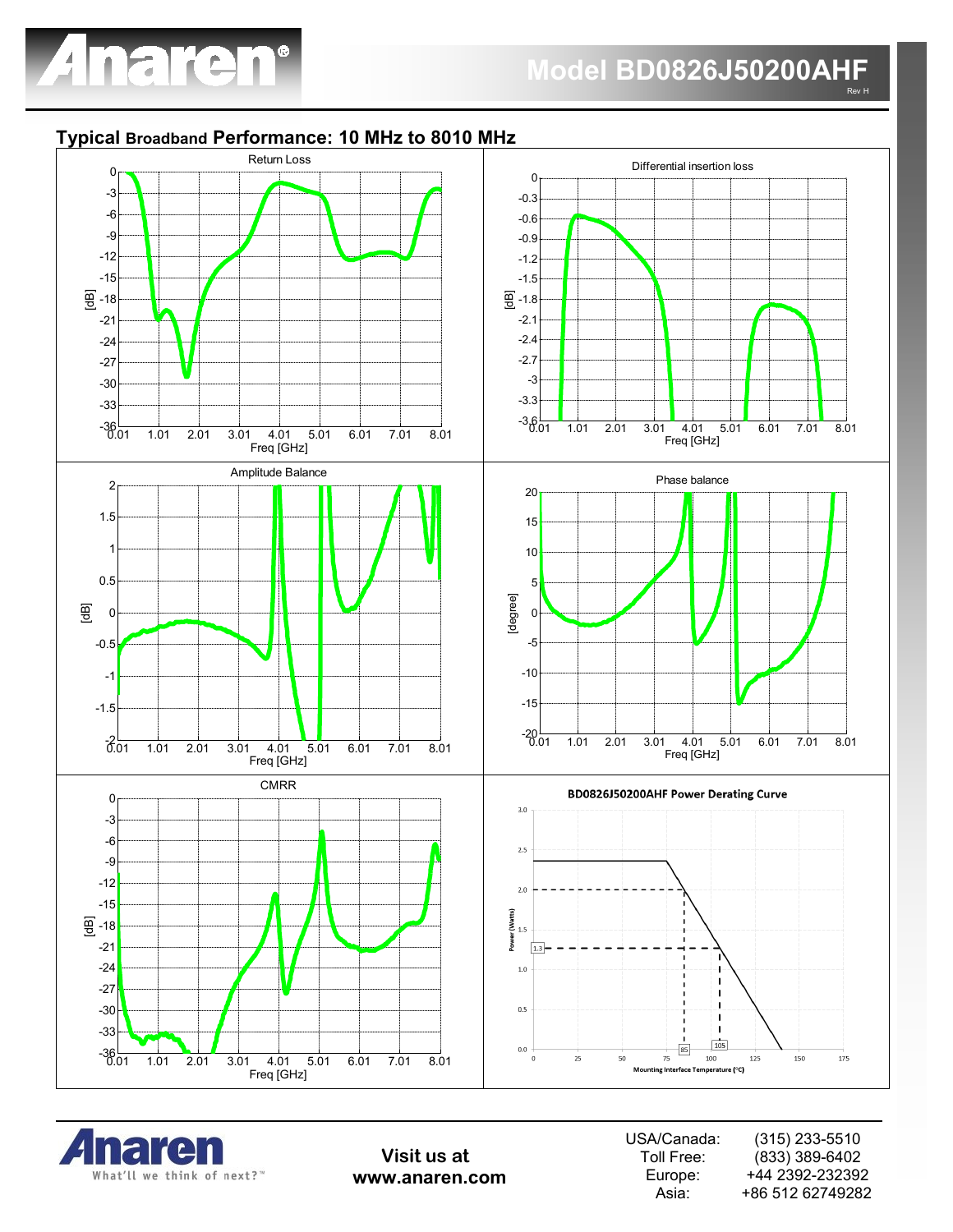

# **Typical Broadband Performance: 10 MHz to 8010 MHz**





**Visit us at www.anaren.com** USA/Canada: Toll Free: Europe: Asia: (315) 233-5510 (833) 389-6402 +44 2392-232392 +86 512 62749282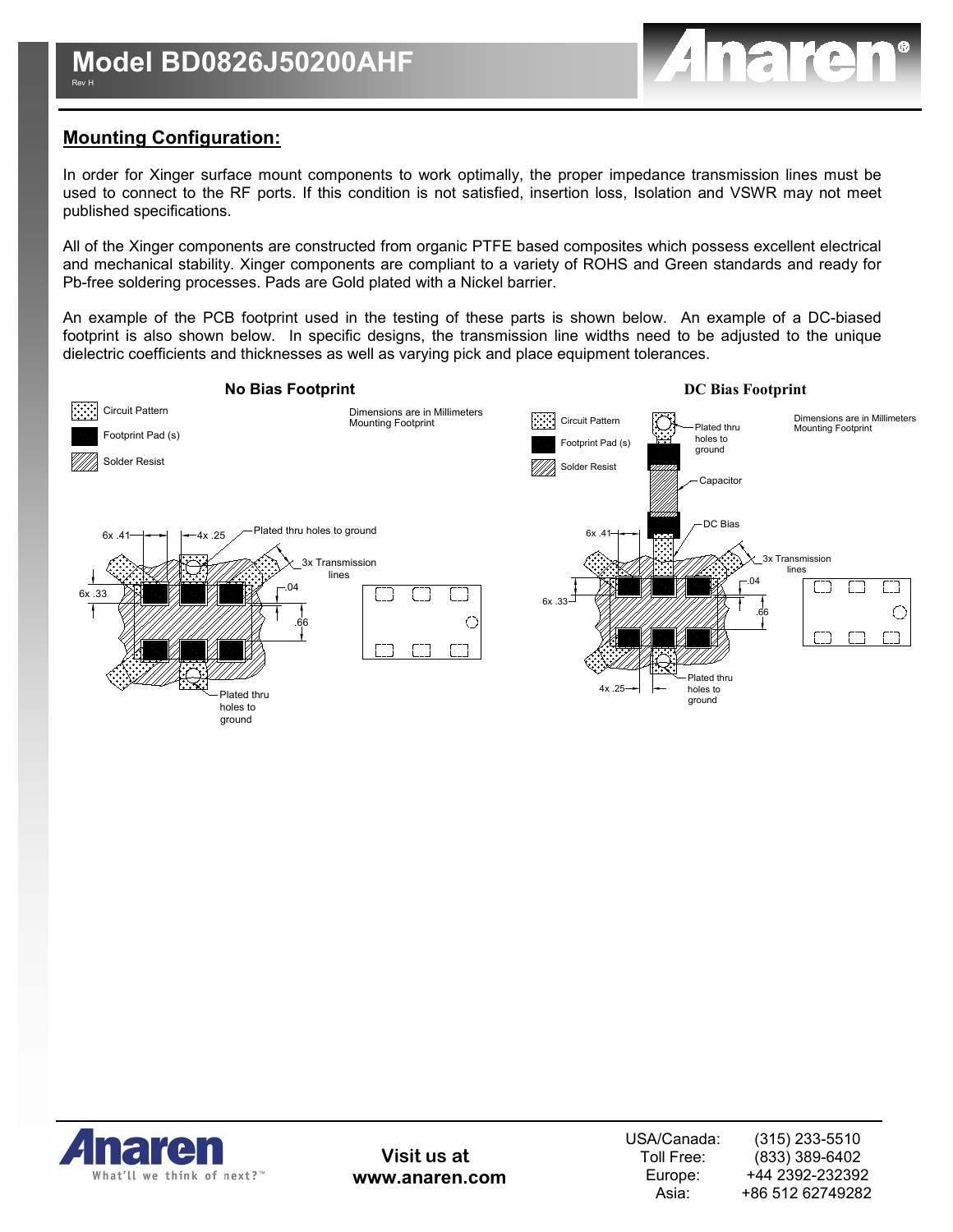

# **Mounting Configuration:**

In order for Xinger surface mount components to work optimally, the proper impedance transmission lines must be used to connect to the RF ports. If this condition is not satisfied, insertion loss, Isolation and VSWR may not meet published specifications.

All of the Xinger components are constructed from organic PTFE based composites which possess excellent electrical and mechanical stability. Xinger components are compliant to a variety of ROHS and Green standards and ready for Pb-free soldering processes. Pads are Gold plated with a Nickel barrier.

An example of the PCB footprint used in the testing of these parts is shown below. An example of a DC-biased footprint is also shown below. In specific designs, the transmission line widths need to be adjusted to the unique dielectric coefficients and thicknesses as well as varying pick and place equipment tolerances.